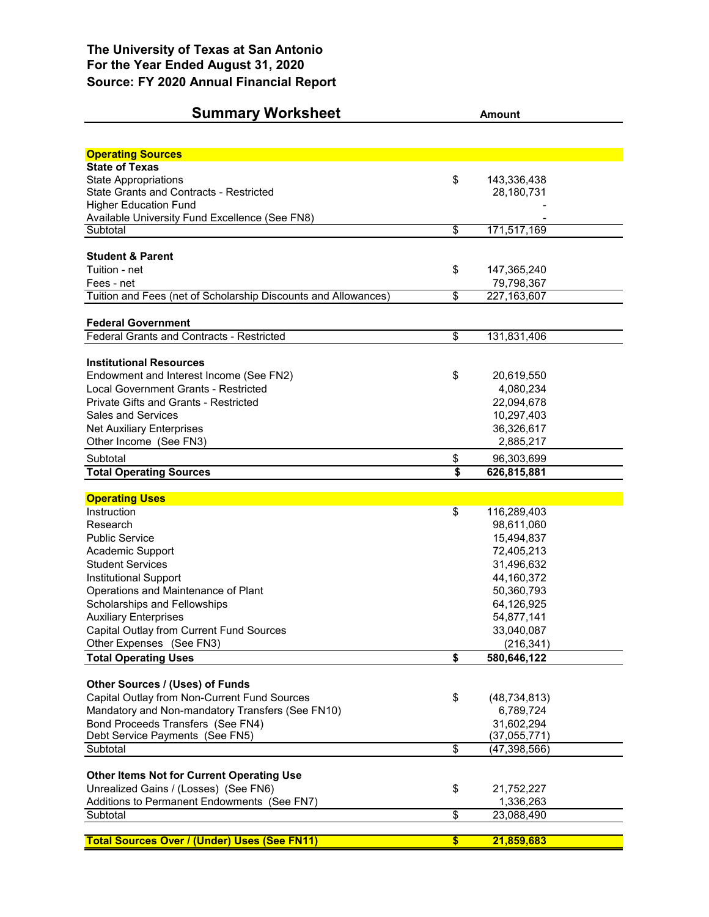## **Summary Worksheet Amount**

| <b>Operating Sources</b>                                       |                          |                         |  |
|----------------------------------------------------------------|--------------------------|-------------------------|--|
| <b>State of Texas</b>                                          |                          |                         |  |
| <b>State Appropriations</b>                                    | \$                       | 143,336,438             |  |
| State Grants and Contracts - Restricted                        |                          | 28,180,731              |  |
| <b>Higher Education Fund</b>                                   |                          |                         |  |
| Available University Fund Excellence (See FN8)                 |                          |                         |  |
| Subtotal                                                       | $\overline{\$}$          | 171,517,169             |  |
| <b>Student &amp; Parent</b>                                    |                          |                         |  |
| Tuition - net                                                  | \$                       | 147,365,240             |  |
| Fees - net                                                     |                          | 79,798,367              |  |
| Tuition and Fees (net of Scholarship Discounts and Allowances) | \$                       | 227, 163, 607           |  |
|                                                                |                          |                         |  |
| <b>Federal Government</b>                                      |                          |                         |  |
| Federal Grants and Contracts - Restricted                      | $\overline{\mathcal{S}}$ | 131,831,406             |  |
| <b>Institutional Resources</b>                                 |                          |                         |  |
| Endowment and Interest Income (See FN2)                        | \$                       | 20,619,550              |  |
| Local Government Grants - Restricted                           |                          | 4,080,234               |  |
| <b>Private Gifts and Grants - Restricted</b>                   |                          | 22,094,678              |  |
| <b>Sales and Services</b>                                      |                          | 10,297,403              |  |
| <b>Net Auxiliary Enterprises</b>                               |                          | 36,326,617              |  |
| Other Income (See FN3)                                         |                          | 2,885,217               |  |
| Subtotal                                                       | \$                       | 96,303,699              |  |
| <b>Total Operating Sources</b>                                 | \$                       | 626,815,881             |  |
|                                                                |                          |                         |  |
|                                                                |                          |                         |  |
| <b>Operating Uses</b>                                          |                          |                         |  |
| Instruction                                                    | \$                       | 116,289,403             |  |
| Research                                                       |                          | 98,611,060              |  |
| <b>Public Service</b>                                          |                          | 15,494,837              |  |
| Academic Support                                               |                          | 72,405,213              |  |
| <b>Student Services</b>                                        |                          | 31,496,632              |  |
| Institutional Support                                          |                          | 44,160,372              |  |
| Operations and Maintenance of Plant                            |                          | 50,360,793              |  |
| Scholarships and Fellowships                                   |                          | 64,126,925              |  |
| <b>Auxiliary Enterprises</b>                                   |                          | 54,877,141              |  |
| Capital Outlay from Current Fund Sources                       |                          | 33,040,087              |  |
| Other Expenses (See FN3)                                       |                          | (216, 341)              |  |
| <b>Total Operating Uses</b>                                    | \$                       | 580,646,122             |  |
| Other Sources / (Uses) of Funds                                |                          |                         |  |
| Capital Outlay from Non-Current Fund Sources                   | \$                       | (48, 734, 813)          |  |
| Mandatory and Non-mandatory Transfers (See FN10)               |                          | 6,789,724               |  |
| Bond Proceeds Transfers (See FN4)                              |                          | 31,602,294              |  |
| Debt Service Payments (See FN5)                                |                          | (37,055,771)            |  |
| Subtotal                                                       | \$                       | (47, 398, 566)          |  |
|                                                                |                          |                         |  |
| <b>Other Items Not for Current Operating Use</b>               |                          |                         |  |
| Unrealized Gains / (Losses) (See FN6)                          | \$                       | 21,752,227              |  |
| Additions to Permanent Endowments (See FN7)<br>Subtotal        | \$                       | 1,336,263<br>23,088,490 |  |
| <b>Total Sources Over / (Under) Uses (See FN11)</b>            | $\overline{\$}$          | 21,859,683              |  |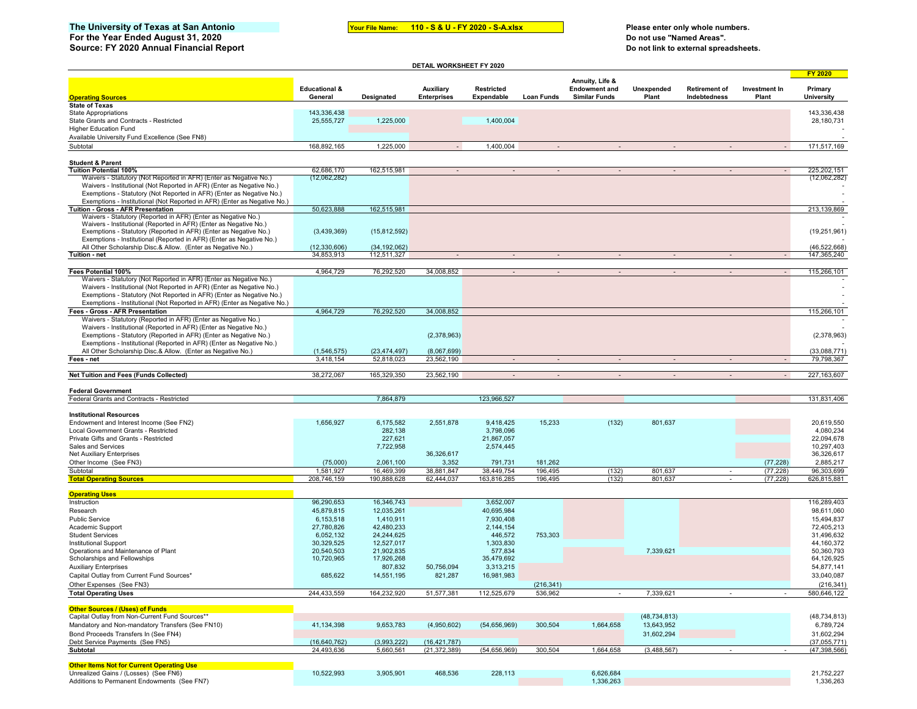## The University of Texas at San Antonio **Mark Conservest of the Marketian Mullet** Process of Please enter only whole numbers.

**For the Year Ended August 31, 2020 Do not use "Named Areas".**

**Your File Name: 110 - S & U - FY 2020 - S-A.xlsx** 

**DETAIL WORKSHEET FY 2020**

**Source: FY 2020 Annual Financial Report Do not link to external spreadsheets.**

|                                                                           |                                     |                |                                 |                                 |                   |                                                                 |                     |                                      |                        | <b>FY 2020</b>               |
|---------------------------------------------------------------------------|-------------------------------------|----------------|---------------------------------|---------------------------------|-------------------|-----------------------------------------------------------------|---------------------|--------------------------------------|------------------------|------------------------------|
| <b>Operating Sources</b>                                                  | <b>Educational &amp;</b><br>General | Designated     | Auxiliary<br><b>Enterprises</b> | <b>Restricted</b><br>Expendable | <b>Loan Funds</b> | Annuity, Life &<br><b>Endowment and</b><br><b>Similar Funds</b> | Unexpended<br>Plant | <b>Retirement of</b><br>Indebtedness | Investment In<br>Plant | Primary<br><b>University</b> |
| <b>State of Texas</b>                                                     |                                     |                |                                 |                                 |                   |                                                                 |                     |                                      |                        |                              |
| <b>State Appropriations</b>                                               | 143,336,438                         |                |                                 |                                 |                   |                                                                 |                     |                                      |                        | 143,336,438                  |
| State Grants and Contracts - Restricted                                   | 25,555,727                          | 1,225,000      |                                 | 1,400,004                       |                   |                                                                 |                     |                                      |                        | 28,180,731                   |
| <b>Higher Education Fund</b>                                              |                                     |                |                                 |                                 |                   |                                                                 |                     |                                      |                        |                              |
| Available University Fund Excellence (See FN8)                            |                                     |                |                                 |                                 |                   |                                                                 |                     |                                      |                        |                              |
| Subtotal                                                                  | 168,892,165                         | 1,225,000      | $\sim$                          | 1,400,004                       | $\sim$            | $\overline{\phantom{a}}$                                        |                     | $\sim$                               | $\sim$                 | 171,517,169                  |
|                                                                           |                                     |                |                                 |                                 |                   |                                                                 |                     |                                      |                        |                              |
| <b>Student &amp; Parent</b>                                               |                                     |                |                                 |                                 |                   |                                                                 |                     |                                      |                        |                              |
| <b>Tuition Potential 100%</b>                                             | 62,686,170                          | 162,515,981    | $\sim$                          | $\sim$                          |                   | $\overline{\phantom{a}}$                                        |                     | $\sim$                               | $\sim$                 | 225,202,151                  |
| Waivers - Statutory (Not Reported in AFR) (Enter as Negative No.)         | (12,062,282)                        |                |                                 |                                 |                   |                                                                 |                     |                                      |                        | (12,062,282)                 |
| Waivers - Institutional (Not Reported in AFR) (Enter as Negative No.)     |                                     |                |                                 |                                 |                   |                                                                 |                     |                                      |                        |                              |
| Exemptions - Statutory (Not Reported in AFR) (Enter as Negative No.)      |                                     |                |                                 |                                 |                   |                                                                 |                     |                                      |                        |                              |
| Exemptions - Institutional (Not Reported in AFR) (Enter as Negative No.)  |                                     |                |                                 |                                 |                   |                                                                 |                     |                                      |                        |                              |
| Tuition - Gross - AFR Presentation                                        | 50,623,888                          | 162,515,981    |                                 |                                 |                   |                                                                 |                     |                                      |                        | 213.139.869                  |
| Waivers - Statutory (Reported in AFR) (Enter as Negative No.)             |                                     |                |                                 |                                 |                   |                                                                 |                     |                                      |                        |                              |
| Waivers - Institutional (Reported in AFR) (Enter as Negative No.)         |                                     |                |                                 |                                 |                   |                                                                 |                     |                                      |                        |                              |
| Exemptions - Statutory (Reported in AFR) (Enter as Negative No.)          | (3,439,369)                         | (15, 812, 592) |                                 |                                 |                   |                                                                 |                     |                                      |                        | (19, 251, 961)               |
| Exemptions - Institutional (Reported in AFR) (Enter as Negative No.)      |                                     |                |                                 |                                 |                   |                                                                 |                     |                                      |                        |                              |
| All Other Scholarship Disc.& Allow. (Enter as Negative No.)               | (12, 330, 606)                      | (34, 192, 062) |                                 |                                 |                   |                                                                 |                     |                                      |                        | (46, 522, 668)               |
| Tuition - net                                                             | 34,853,913                          | 112,511,327    |                                 |                                 |                   |                                                                 |                     |                                      |                        | 147,365,240                  |
|                                                                           |                                     |                |                                 |                                 |                   |                                                                 |                     |                                      |                        |                              |
| Fees Potential 100%                                                       | 4,964,729                           | 76,292,520     | 34,008,852                      |                                 |                   |                                                                 |                     |                                      |                        | 115,266,101                  |
| Waivers - Statutory (Not Reported in AFR) (Enter as Negative No.)         |                                     |                |                                 |                                 |                   |                                                                 |                     |                                      |                        |                              |
| Waivers - Institutional (Not Reported in AFR) (Enter as Negative No.)     |                                     |                |                                 |                                 |                   |                                                                 |                     |                                      |                        |                              |
| Exemptions - Statutory (Not Reported in AFR) (Enter as Negative No.)      |                                     |                |                                 |                                 |                   |                                                                 |                     |                                      |                        |                              |
| Exemptions - Institutional (Not Reported in AFR) (Enter as Negative No.)  |                                     |                |                                 |                                 |                   |                                                                 |                     |                                      |                        |                              |
| Fees - Gross - AFR Presentation                                           | 4,964,729                           | 76,292,520     | 34,008,852                      |                                 |                   |                                                                 |                     |                                      |                        | 115,266,101                  |
| Waivers - Statutory (Reported in AFR) (Enter as Negative No.)             |                                     |                |                                 |                                 |                   |                                                                 |                     |                                      |                        |                              |
| Waivers - Institutional (Reported in AFR) (Enter as Negative No.)         |                                     |                |                                 |                                 |                   |                                                                 |                     |                                      |                        |                              |
| Exemptions - Statutory (Reported in AFR) (Enter as Negative No.)          |                                     |                | (2,378,963)                     |                                 |                   |                                                                 |                     |                                      |                        | (2,378,963)                  |
| Exemptions - Institutional (Reported in AFR) (Enter as Negative No.)      |                                     |                |                                 |                                 |                   |                                                                 |                     |                                      |                        |                              |
| All Other Scholarship Disc.& Allow. (Enter as Negative No.)               | (1,546,575)                         | (23, 474, 497) | (8,067,699)                     |                                 |                   |                                                                 |                     |                                      |                        | (33,088,771)                 |
| Fees - net                                                                | 3,418,154                           | 52,818,023     | 23,562,190                      |                                 |                   |                                                                 |                     |                                      |                        | 79,798,367                   |
|                                                                           |                                     |                |                                 |                                 |                   |                                                                 |                     |                                      |                        |                              |
| Net Tuition and Fees (Funds Collected)                                    | 38,272,067                          | 165,329,350    | 23,562,190                      | $\sim$                          | $\sim$            | $\sim$                                                          | $\sim$              | $\sim$                               | $\sim$                 | 227, 163, 607                |
|                                                                           |                                     |                |                                 |                                 |                   |                                                                 |                     |                                      |                        |                              |
| <b>Federal Government</b><br>Federal Grants and Contracts - Restricted    |                                     | 7,864,879      |                                 | 123,966,527                     |                   |                                                                 |                     |                                      |                        | 131,831,406                  |
|                                                                           |                                     |                |                                 |                                 |                   |                                                                 |                     |                                      |                        |                              |
|                                                                           |                                     |                |                                 |                                 |                   |                                                                 |                     |                                      |                        |                              |
| <b>Institutional Resources</b><br>Endowment and Interest Income (See FN2) | 1,656,927                           | 6,175,582      | 2,551,878                       | 9,418,425                       | 15,233            | (132)                                                           | 801,637             |                                      |                        | 20,619,550                   |
| Local Government Grants - Restricted                                      |                                     | 282,138        |                                 | 3,798,096                       |                   |                                                                 |                     |                                      |                        | 4,080,234                    |
| Private Gifts and Grants - Restricted                                     |                                     | 227,621        |                                 | 21,867,057                      |                   |                                                                 |                     |                                      |                        | 22,094,678                   |
| Sales and Services                                                        |                                     | 7,722,958      |                                 | 2,574,445                       |                   |                                                                 |                     |                                      |                        | 10,297,403                   |
| <b>Net Auxiliary Enterprises</b>                                          |                                     |                | 36,326,617                      |                                 |                   |                                                                 |                     |                                      |                        | 36,326,617                   |
| Other Income (See FN3)                                                    | (75,000)                            | 2,061,100      | 3,352                           | 791,731                         | 181,262           |                                                                 |                     |                                      | (77, 228)              | 2,885,217                    |
| Subtotal                                                                  | 1,581,927                           | 16,469,399     | 38,881,847                      | 38,449,754                      | 196,495           |                                                                 | 801,637             |                                      | (77, 228)              | 96,303,699                   |
| <b>Total Operating Sources</b>                                            | 208,746,159                         | 190,888,628    | 62,444,037                      | 163,816,285                     | 196,495           | (132)<br>(132)                                                  | 801,63              | $\overline{\phantom{a}}$             | (77, 228)              | 626,815,881                  |
|                                                                           |                                     |                |                                 |                                 |                   |                                                                 |                     |                                      |                        |                              |
| <b>Operating Uses</b>                                                     |                                     |                |                                 |                                 |                   |                                                                 |                     |                                      |                        |                              |
| Instruction                                                               | 96,290,653                          | 16,346,743     |                                 | 3,652,007                       |                   |                                                                 |                     |                                      |                        | 116,289,403                  |
| Research                                                                  | 45,879,815                          | 12,035,261     |                                 | 40,695,984                      |                   |                                                                 |                     |                                      |                        | 98,611,060                   |
| <b>Public Service</b>                                                     | 6,153,518                           | 1,410,911      |                                 | 7.930.408                       |                   |                                                                 |                     |                                      |                        | 15,494,837                   |
|                                                                           | 27,780,826                          | 42,480,233     |                                 | 2,144,154                       |                   |                                                                 |                     |                                      |                        | 72,405,213                   |
| Academic Support<br><b>Student Services</b>                               | 6,052,132                           | 24.244.625     |                                 | 446,572                         | 753,303           |                                                                 |                     |                                      |                        | 31.496.632                   |
| <b>Institutional Support</b>                                              | 30,329,525                          | 12,527,017     |                                 | 1,303,830                       |                   |                                                                 |                     |                                      |                        | 44,160,372                   |
| Operations and Maintenance of Plant                                       | 20,540,503                          | 21,902,835     |                                 | 577,834                         |                   |                                                                 | 7,339,621           |                                      |                        | 50,360,793                   |
| Scholarships and Fellowships                                              | 10,720,965                          | 17,926,268     |                                 | 35,479,692                      |                   |                                                                 |                     |                                      |                        | 64,126,925                   |
| <b>Auxiliary Enterprises</b>                                              |                                     | 807,832        |                                 | 3,313,215                       |                   |                                                                 |                     |                                      |                        | 54,877,141                   |
|                                                                           |                                     |                | 50,756,094                      |                                 |                   |                                                                 |                     |                                      |                        |                              |
| Capital Outlay from Current Fund Sources*                                 | 685,622                             | 14,551,195     | 821,287                         | 16,981,983                      |                   |                                                                 |                     |                                      |                        | 33,040,087                   |
| Other Expenses (See FN3)                                                  |                                     |                |                                 |                                 | (216, 341)        |                                                                 |                     |                                      |                        | (216, 341)                   |
| Total Operating Uses                                                      | 244,433,559                         | 164,232,920    | 51,517,381                      | 112,525,679                     | 536,962           |                                                                 | 7.339.621           |                                      |                        | 580,646,122                  |
|                                                                           |                                     |                |                                 |                                 |                   |                                                                 |                     |                                      |                        |                              |
| Other Sources / (Uses) of Funds                                           |                                     |                |                                 |                                 |                   |                                                                 |                     |                                      |                        |                              |
| Capital Outlay from Non-Current Fund Sources**                            |                                     |                |                                 |                                 |                   |                                                                 | (48, 734, 813)      |                                      |                        | (48, 734, 813)               |
| Mandatory and Non-mandatory Transfers (See FN10)                          | 41,134,398                          | 9,653,783      | (4,950,602)                     | (54,656,969)                    | 300,504           | 1,664,658                                                       | 13,643,952          |                                      |                        | 6,789,724                    |
| Bond Proceeds Transfers In (See FN4)                                      |                                     |                |                                 |                                 |                   |                                                                 | 31,602,294          |                                      |                        | 31,602,294                   |
| Debt Service Payments (See FN5)                                           | (16,640,762)                        | (3,993,222)    | (16, 421, 787)                  |                                 |                   |                                                                 |                     |                                      |                        | (37,055,771)                 |
| Subtotal                                                                  | 24,493,636                          | 5,660,561      | (21, 372, 389)                  | (54,656,969)                    | 300,504           | 1,664,658                                                       | (3,488,567)         |                                      |                        | (47, 398, 566)               |
|                                                                           |                                     |                |                                 |                                 |                   |                                                                 |                     |                                      |                        |                              |
| <b>Other Items Not for Current Operating Use</b>                          |                                     |                |                                 |                                 |                   |                                                                 |                     |                                      |                        |                              |
| Unrealized Gains / (Losses) (See FN6)                                     | 10,522,993                          | 3,905,901      | 468,536                         | 228,113                         |                   | 6,626,684                                                       |                     |                                      |                        | 21,752,227                   |
| Additions to Permanent Endowments (See FN7)                               |                                     |                |                                 |                                 |                   | 1,336,263                                                       |                     |                                      |                        | 1,336,263                    |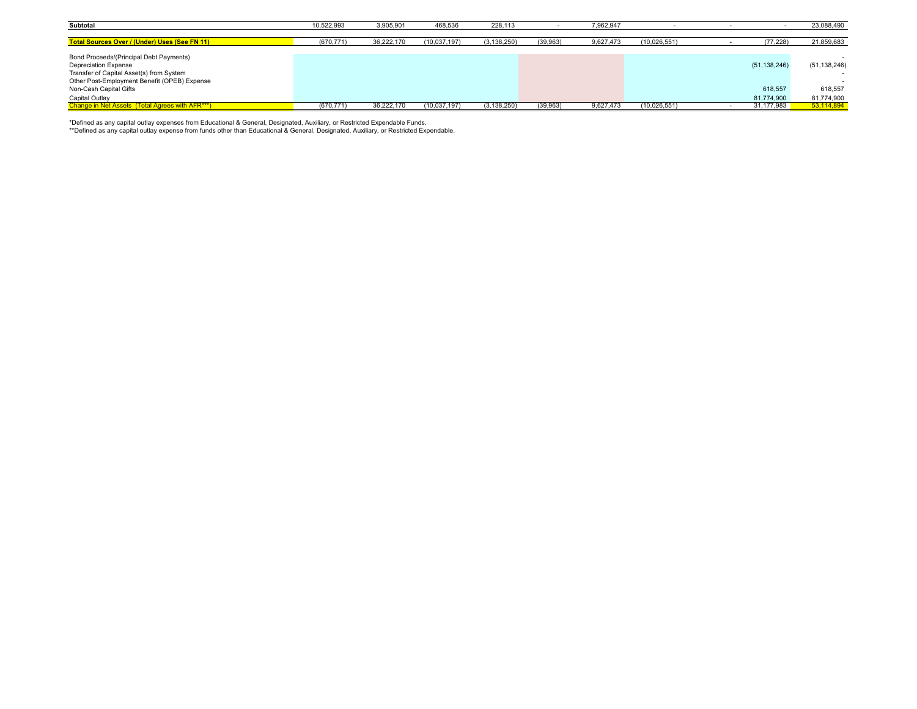| Subtotal                                             | 10,522,993 | 3,905,901  | 468,536      | 228,113       |          | 7,962,947 |              |                | 23,088,490     |
|------------------------------------------------------|------------|------------|--------------|---------------|----------|-----------|--------------|----------------|----------------|
|                                                      |            |            |              |               |          |           |              |                |                |
| <b>Total Sources Over / (Under) Uses (See FN 11)</b> | (670, 771) | 36,222,170 | (10,037,197) | (3, 138, 250) | (39,963) | 9,627,473 | (10,026,551) | (77, 228)      | 21,859,683     |
|                                                      |            |            |              |               |          |           |              |                |                |
| Bond Proceeds/(Principal Debt Payments)              |            |            |              |               |          |           |              |                |                |
| <b>Depreciation Expense</b>                          |            |            |              |               |          |           |              | (51, 138, 246) | (51, 138, 246) |
| Transfer of Capital Asset(s) from System             |            |            |              |               |          |           |              |                | $\sim$         |
| Other Post-Employment Benefit (OPEB) Expense         |            |            |              |               |          |           |              |                |                |
| Non-Cash Capital Gifts                               |            |            |              |               |          |           |              | 618,557        | 618,557        |
| Capital Outlay                                       |            |            |              |               |          |           |              | 81.774.900     | 81,774,900     |
| Change in Net Assets (Total Agrees with AFR***)      | (670.771)  | 36.222.170 | (10.037.197) | (3, 138, 250) | (39.963) | 9.627.473 | (10,026,551) | 31.177.983     | 53.114.894     |

\*Defined as any capital outlay expenses from Educational & General, Designated, Auxiliary, or Restricted Expendable Funds.<br>\*\*Defined as any capital outlay expense from funds other than Educational & General, Designated, Au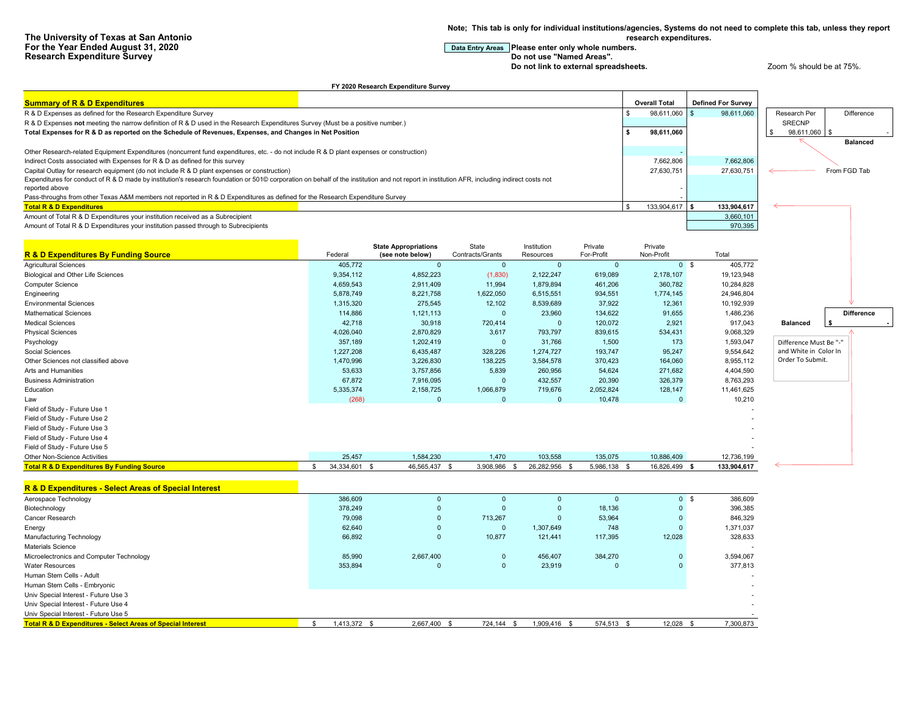**Note; This tab is only for individual institutions/agencies, Systems do not need to complete this tab, unless they report** 

**research expenditures.**

**For the Year Entry Areas Please enter only whole numbers.**<br>Do not use "Named Areas".

**Do not link to external spreadsheets. Do not link to external spreadsheets.** Zoom % should be at 75%.

|                                                                                                                                                                                              |                               | FY 2020 Research Expenditure Survey             |                           |                                  |                       |                       |                           |                            |
|----------------------------------------------------------------------------------------------------------------------------------------------------------------------------------------------|-------------------------------|-------------------------------------------------|---------------------------|----------------------------------|-----------------------|-----------------------|---------------------------|----------------------------|
| <b>Summary of R &amp; D Expenditures</b>                                                                                                                                                     |                               |                                                 |                           |                                  |                       | <b>Overall Total</b>  | <b>Defined For Survey</b> |                            |
| R & D Expenses as defined for the Research Expenditure Survey                                                                                                                                |                               |                                                 |                           |                                  | \$                    | 98,611,060            | 98,611,060                | Difference<br>Research Per |
| R & D Expenses not meeting the narrow definition of R & D used in the Research Expenditures Survey (Must be a positive number.)                                                              |                               |                                                 |                           |                                  |                       |                       |                           | <b>SRECNP</b>              |
| Total Expenses for R & D as reported on the Schedule of Revenues, Expenses, and Changes in Net Position                                                                                      | s.                            | 98,611,060                                      |                           | 98,611,060                       |                       |                       |                           |                            |
|                                                                                                                                                                                              |                               |                                                 |                           |                                  |                       |                       |                           | <b>Balanced</b>            |
| Other Research-related Equipment Expenditures (noncurrent fund expenditures, etc. - do not include R & D plant expenses or construction)                                                     |                               |                                                 |                           |                                  |                       |                       |                           |                            |
| Indirect Costs associated with Expenses for R & D as defined for this survey                                                                                                                 |                               |                                                 |                           |                                  |                       | 7,662,806             | 7,662,806                 |                            |
| Capital Outlay for research equipment (do not include R & D plant expenses or construction)                                                                                                  |                               |                                                 |                           |                                  |                       | 27,630,751            | 27,630,751                | From FGD Tab               |
| Expenditures for conduct of R & D made by institution's research foundation or 501© corporation on behalf of the institution and not report in institution AFR, including indirect costs not |                               |                                                 |                           |                                  |                       |                       |                           |                            |
| reported above                                                                                                                                                                               |                               |                                                 |                           |                                  |                       |                       |                           |                            |
| Pass-throughs from other Texas A&M members not reported in R & D Expenditures as defined for the Research Expenditure Survey                                                                 |                               |                                                 |                           |                                  |                       |                       |                           |                            |
| <b>Total R &amp; D Expenditures</b>                                                                                                                                                          |                               |                                                 |                           |                                  |                       | 133,904,617           | 133,904,617<br>3,660,101  |                            |
| Amount of Total R & D Expenditures your institution received as a Subrecipient                                                                                                               |                               |                                                 |                           |                                  |                       |                       | 970,395                   |                            |
| Amount of Total R & D Expenditures your institution passed through to Subrecipients                                                                                                          |                               |                                                 |                           |                                  |                       |                       |                           |                            |
|                                                                                                                                                                                              |                               |                                                 |                           |                                  |                       |                       |                           |                            |
| <b>R &amp; D Expenditures By Funding Source</b>                                                                                                                                              | Federal                       | <b>State Appropriations</b><br>(see note below) | State<br>Contracts/Grants | Institution<br>Resources         | Private<br>For-Profit | Private<br>Non-Profit | Total                     |                            |
| <b>Agricultural Sciences</b>                                                                                                                                                                 | 405.772                       | $\mathbf{0}$                                    | $\mathbf{0}$              | $\Omega$                         | $\overline{0}$        | 0 <sup>5</sup>        | 405.772                   |                            |
| Biological and Other Life Sciences                                                                                                                                                           | 9,354,112                     | 4,852,223                                       | (1,830)                   | 2,122,247                        | 619,089               | 2,178,107             | 19,123,948                |                            |
| Computer Science                                                                                                                                                                             | 4,659,543                     | 2,911,409                                       | 11,994                    | 1,879,894                        | 461,206               | 360,782               | 10,284,828                |                            |
| Engineering                                                                                                                                                                                  | 5,878,749                     | 8,221,758                                       | 1,622,050                 | 6,515,551                        | 934,551               | 1,774,145             | 24,946,804                |                            |
| <b>Environmental Sciences</b>                                                                                                                                                                | 1,315,320                     | 275,545                                         | 12,102                    | 8,539,689                        | 37,922                | 12,361                | 10,192,939                |                            |
| <b>Mathematical Sciences</b>                                                                                                                                                                 | 114,886                       | 1,121,113                                       | $\mathbf{0}$              | 23,960                           | 134,622               | 91,655                | 1,486,236                 | <b>Difference</b>          |
| <b>Medical Sciences</b>                                                                                                                                                                      | 42,718                        | 30,918                                          | 720,414                   | $\Omega$                         | 120,072               | 2,921                 | 917,043                   | <b>Balanced</b>            |
| <b>Physical Sciences</b>                                                                                                                                                                     | 4,026,040                     | 2,870,829                                       | 3,617                     | 793,797                          | 839,615               | 534,431               | 9,068,329                 |                            |
| Psychology                                                                                                                                                                                   | 357.189                       | 1.202.419                                       | $\Omega$                  | 31,766                           | 1,500                 | 173                   | 1,593,047                 | Difference Must Be "-"     |
| Social Sciences                                                                                                                                                                              | 1,227,208                     | 6,435,487                                       | 328,226                   | 1,274,727                        | 193,747               | 95,247                | 9,554,642                 | and White in Color In      |
| Other Sciences not classified above                                                                                                                                                          | 1,470,996                     | 3,226,830                                       | 138,225                   | 3,584,578                        | 370,423               | 164,060               | 8,955,112                 | Order To Submit.           |
| Arts and Humanities                                                                                                                                                                          | 53,633                        | 3,757,856                                       | 5,839                     | 260,956                          | 54,624                | 271,682               | 4,404,590                 |                            |
| <b>Business Administration</b>                                                                                                                                                               | 67,872                        | 7,916,095                                       | $\Omega$                  | 432,557                          | 20,390                | 326,379               | 8,763,293                 |                            |
| Education                                                                                                                                                                                    | 5,335,374                     | 2,158,725                                       | 1,066,879                 | 719,676                          | 2,052,824             | 128,147               | 11,461,625                |                            |
| Law                                                                                                                                                                                          | (268)                         | $\Omega$                                        | $\Omega$                  | $\overline{0}$                   | 10,478                | $\overline{0}$        | 10,210                    |                            |
| Field of Study - Future Use 1                                                                                                                                                                |                               |                                                 |                           |                                  |                       |                       |                           |                            |
| Field of Study - Future Use 2                                                                                                                                                                |                               |                                                 |                           |                                  |                       |                       |                           |                            |
| Field of Study - Future Use 3                                                                                                                                                                |                               |                                                 |                           |                                  |                       |                       |                           |                            |
| Field of Study - Future Use 4                                                                                                                                                                |                               |                                                 |                           |                                  |                       |                       |                           |                            |
| Field of Study - Future Use 5                                                                                                                                                                |                               |                                                 |                           |                                  |                       |                       |                           |                            |
| Other Non-Science Activities                                                                                                                                                                 | 25,457                        | 1,584,230                                       | 1,470                     | 103,558                          | 135,075               | 10,886,409            | 12,736,199                |                            |
| <b>Total R &amp; D Expenditures By Funding Source</b>                                                                                                                                        | 34,334,601 \$<br>$\mathbb{S}$ | 46,565,437                                      | 3,908,986<br>- \$         | 26,282,956<br>$\mathbb{S}$<br>\$ | 5,986,138 \$          | 16,826,499 \$         | 133,904,617               |                            |
|                                                                                                                                                                                              |                               |                                                 |                           |                                  |                       |                       |                           |                            |
| R & D Expenditures - Select Areas of Special Interest                                                                                                                                        |                               |                                                 |                           |                                  |                       |                       |                           |                            |
| Aerospace Technology                                                                                                                                                                         | 386,609                       | $\Omega$                                        | $\Omega$                  | $\Omega$                         | $\overline{0}$        | 0 <sup>5</sup>        | 386,609                   |                            |
| Biotechnology                                                                                                                                                                                | 378,249                       | $\Omega$                                        | $\Omega$                  | $\mathbf{0}$                     | 18,136                | $\Omega$              | 396,385                   |                            |
| Cancer Research                                                                                                                                                                              | 79,098                        | $\Omega$                                        | 713,267                   | $\Omega$                         | 53,964                | $\mathbf{0}$          | 846,329                   |                            |
| Energy                                                                                                                                                                                       | 62.640                        | $\Omega$                                        | $\Omega$                  | 1,307,649                        | 748                   | $\Omega$              | 1,371,037                 |                            |
| <b>Manufacturing Technology</b>                                                                                                                                                              | 66,892                        | $\Omega$                                        | 10,877                    | 121,441                          | 117,395               | 12,028                | 328,633                   |                            |
| Materials Science                                                                                                                                                                            |                               |                                                 |                           |                                  |                       |                       |                           |                            |
| Microelectronics and Computer Technology                                                                                                                                                     | 85,990                        | 2,667,400<br>$\Omega$                           | $\Omega$                  | 456,407                          | 384,270               | $\Omega$              | 3,594,067                 |                            |
| <b>Water Resources</b>                                                                                                                                                                       | 353,894                       |                                                 | $\Omega$                  | 23,919                           | $\Omega$              | $\Omega$              | 377.813                   |                            |
| Human Stem Cells - Adult                                                                                                                                                                     |                               |                                                 |                           |                                  |                       |                       |                           |                            |
| Human Stem Cells - Embryonic                                                                                                                                                                 |                               |                                                 |                           |                                  |                       |                       |                           |                            |
| Univ Special Interest - Future Use 3<br>Univ Special Interest - Future Use 4                                                                                                                 |                               |                                                 |                           |                                  |                       |                       |                           |                            |
| Univ Special Interest - Future Use 5                                                                                                                                                         |                               |                                                 |                           |                                  |                       |                       |                           |                            |
| <b>Total R &amp; D Expenditures - Select Areas of Special Interest</b>                                                                                                                       | 1,413,372 \$<br>S.            | 2,667,400 \$                                    | 724,144 \$                | 1,909,416 \$                     | 574,513 \$            | 12,028 \$             | 7.300.873                 |                            |